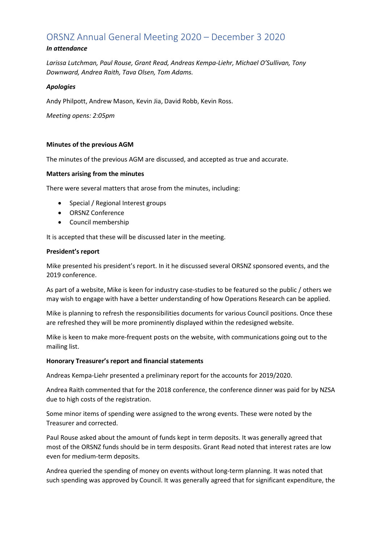# ORSNZ Annual General Meeting 2020 – December 3 2020

# *In attendance*

*Larissa Lutchman, Paul Rouse, Grant Read, Andreas Kempa-Liehr, Michael O'Sullivan, Tony Downward, Andrea Raith, Tava Olsen, Tom Adams.*

## *Apologies*

Andy Philpott, Andrew Mason, Kevin Jia, David Robb, Kevin Ross.

*Meeting opens: 2:05pm*

# **Minutes of the previous AGM**

The minutes of the previous AGM are discussed, and accepted as true and accurate.

# **Matters arising from the minutes**

There were several matters that arose from the minutes, including:

- Special / Regional Interest groups
- ORSNZ Conference
- Council membership

It is accepted that these will be discussed later in the meeting.

## **President's report**

Mike presented his president's report. In it he discussed several ORSNZ sponsored events, and the 2019 conference.

As part of a website, Mike is keen for industry case-studies to be featured so the public / others we may wish to engage with have a better understanding of how Operations Research can be applied.

Mike is planning to refresh the responsibilities documents for various Council positions. Once these are refreshed they will be more prominently displayed within the redesigned website.

Mike is keen to make more-frequent posts on the website, with communications going out to the mailing list.

## **Honorary Treasurer's report and financial statements**

Andreas Kempa-Liehr presented a preliminary report for the accounts for 2019/2020.

Andrea Raith commented that for the 2018 conference, the conference dinner was paid for by NZSA due to high costs of the registration.

Some minor items of spending were assigned to the wrong events. These were noted by the Treasurer and corrected.

Paul Rouse asked about the amount of funds kept in term deposits. It was generally agreed that most of the ORSNZ funds should be in term desposits. Grant Read noted that interest rates are low even for medium-term deposits.

Andrea queried the spending of money on events without long-term planning. It was noted that such spending was approved by Council. It was generally agreed that for significant expenditure, the